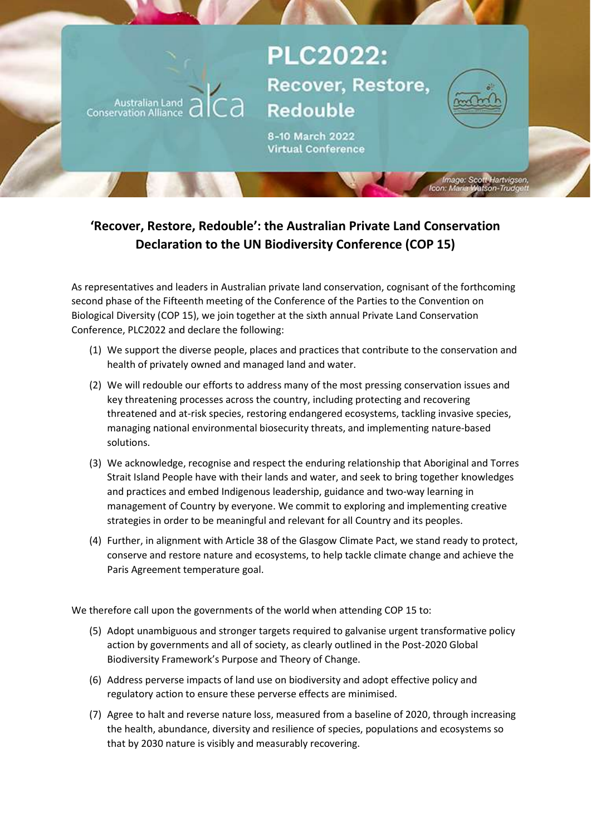## **PLC2022:** Recover, Restore, **Redouble**



utl Hartvigsen<br>Itson-Trudget

8-10 March 2022 **Virtual Conference** 

## 'Recover, Restore, Redouble': the Australian Private Land Conservation Declaration to the UN Biodiversity Conference (COP 15)

Australian Land<br>Conservation Alliance

As representatives and leaders in Australian private land conservation, cognisant of the forthcoming second phase of the Fifteenth meeting of the Conference of the Parties to the Convention on Biological Diversity (COP 15), we join together at the sixth annual Private Land Conservation Conference, PLC2022 and declare the following:

- (1) We support the diverse people, places and practices that contribute to the conservation and health of privately owned and managed land and water.
- (2) We will redouble our efforts to address many of the most pressing conservation issues and key threatening processes across the country, including protecting and recovering threatened and at-risk species, restoring endangered ecosystems, tackling invasive species, managing national environmental biosecurity threats, and implementing nature-based solutions.
- (3) We acknowledge, recognise and respect the enduring relationship that Aboriginal and Torres Strait Island People have with their lands and water, and seek to bring together knowledges and practices and embed Indigenous leadership, guidance and two-way learning in management of Country by everyone. We commit to exploring and implementing creative strategies in order to be meaningful and relevant for all Country and its peoples.
- (4) Further, in alignment with Article 38 of the Glasgow Climate Pact, we stand ready to protect, conserve and restore nature and ecosystems, to help tackle climate change and achieve the Paris Agreement temperature goal.

We therefore call upon the governments of the world when attending COP 15 to:

- (5) Adopt unambiguous and stronger targets required to galvanise urgent transformative policy action by governments and all of society, as clearly outlined in the Post-2020 Global Biodiversity Framework's Purpose and Theory of Change.
- (6) Address perverse impacts of land use on biodiversity and adopt effective policy and regulatory action to ensure these perverse effects are minimised.
- (7) Agree to halt and reverse nature loss, measured from a baseline of 2020, through increasing the health, abundance, diversity and resilience of species, populations and ecosystems so that by 2030 nature is visibly and measurably recovering.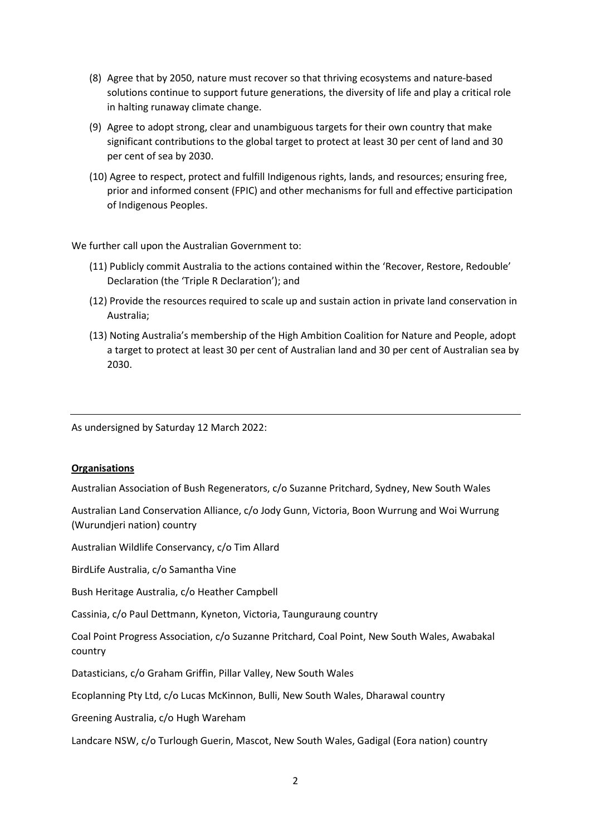- (8) Agree that by 2050, nature must recover so that thriving ecosystems and nature-based solutions continue to support future generations, the diversity of life and play a critical role in halting runaway climate change.
- (9) Agree to adopt strong, clear and unambiguous targets for their own country that make significant contributions to the global target to protect at least 30 per cent of land and 30 per cent of sea by 2030.
- (10) Agree to respect, protect and fulfill Indigenous rights, lands, and resources; ensuring free, prior and informed consent (FPIC) and other mechanisms for full and effective participation of Indigenous Peoples.

We further call upon the Australian Government to:

- (11) Publicly commit Australia to the actions contained within the 'Recover, Restore, Redouble' Declaration (the 'Triple R Declaration'); and
- (12) Provide the resources required to scale up and sustain action in private land conservation in Australia;
- (13) Noting Australia's membership of the High Ambition Coalition for Nature and People, adopt a target to protect at least 30 per cent of Australian land and 30 per cent of Australian sea by 2030.

As undersigned by Saturday 12 March 2022:

## **Organisations**

Australian Association of Bush Regenerators, c/o Suzanne Pritchard, Sydney, New South Wales

Australian Land Conservation Alliance, c/o Jody Gunn, Victoria, Boon Wurrung and Woi Wurrung (Wurundjeri nation) country

Australian Wildlife Conservancy, c/o Tim Allard

BirdLife Australia, c/o Samantha Vine

Bush Heritage Australia, c/o Heather Campbell

Cassinia, c/o Paul Dettmann, Kyneton, Victoria, Taunguraung country

Coal Point Progress Association, c/o Suzanne Pritchard, Coal Point, New South Wales, Awabakal country

Datasticians, c/o Graham Griffin, Pillar Valley, New South Wales

Ecoplanning Pty Ltd, c/o Lucas McKinnon, Bulli, New South Wales, Dharawal country

Greening Australia, c/o Hugh Wareham

Landcare NSW, c/o Turlough Guerin, Mascot, New South Wales, Gadigal (Eora nation) country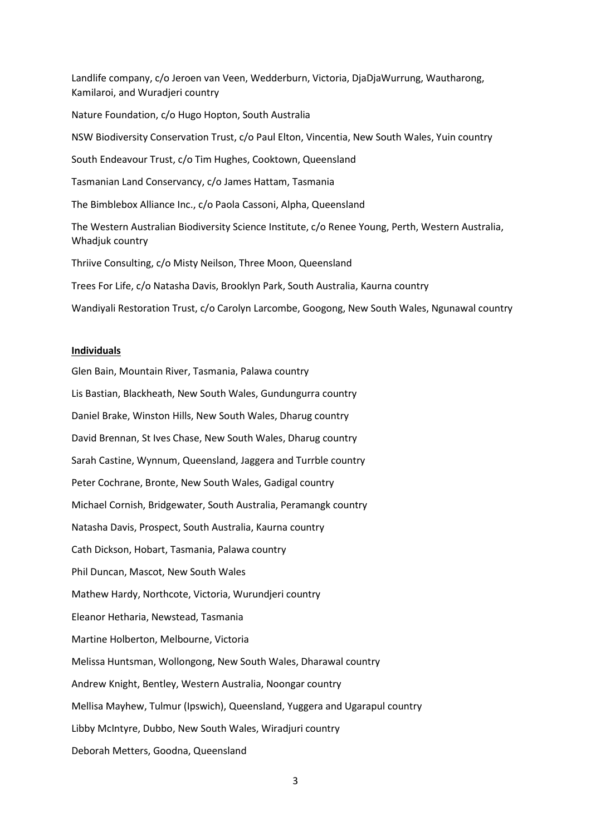Landlife company, c/o Jeroen van Veen, Wedderburn, Victoria, DjaDjaWurrung, Wautharong, Kamilaroi, and Wuradjeri country Nature Foundation, c/o Hugo Hopton, South Australia NSW Biodiversity Conservation Trust, c/o Paul Elton, Vincentia, New South Wales, Yuin country South Endeavour Trust, c/o Tim Hughes, Cooktown, Queensland Tasmanian Land Conservancy, c/o James Hattam, Tasmania The Bimblebox Alliance Inc., c/o Paola Cassoni, Alpha, Queensland The Western Australian Biodiversity Science Institute, c/o Renee Young, Perth, Western Australia, Whadjuk country Thriive Consulting, c/o Misty Neilson, Three Moon, Queensland Trees For Life, c/o Natasha Davis, Brooklyn Park, South Australia, Kaurna country Wandiyali Restoration Trust, c/o Carolyn Larcombe, Googong, New South Wales, Ngunawal country

## Individuals

Glen Bain, Mountain River, Tasmania, Palawa country Lis Bastian, Blackheath, New South Wales, Gundungurra country Daniel Brake, Winston Hills, New South Wales, Dharug country David Brennan, St Ives Chase, New South Wales, Dharug country Sarah Castine, Wynnum, Queensland, Jaggera and Turrble country Peter Cochrane, Bronte, New South Wales, Gadigal country Michael Cornish, Bridgewater, South Australia, Peramangk country Natasha Davis, Prospect, South Australia, Kaurna country Cath Dickson, Hobart, Tasmania, Palawa country Phil Duncan, Mascot, New South Wales Mathew Hardy, Northcote, Victoria, Wurundjeri country Eleanor Hetharia, Newstead, Tasmania Martine Holberton, Melbourne, Victoria Melissa Huntsman, Wollongong, New South Wales, Dharawal country Andrew Knight, Bentley, Western Australia, Noongar country Mellisa Mayhew, Tulmur (Ipswich), Queensland, Yuggera and Ugarapul country Libby McIntyre, Dubbo, New South Wales, Wiradjuri country Deborah Metters, Goodna, Queensland